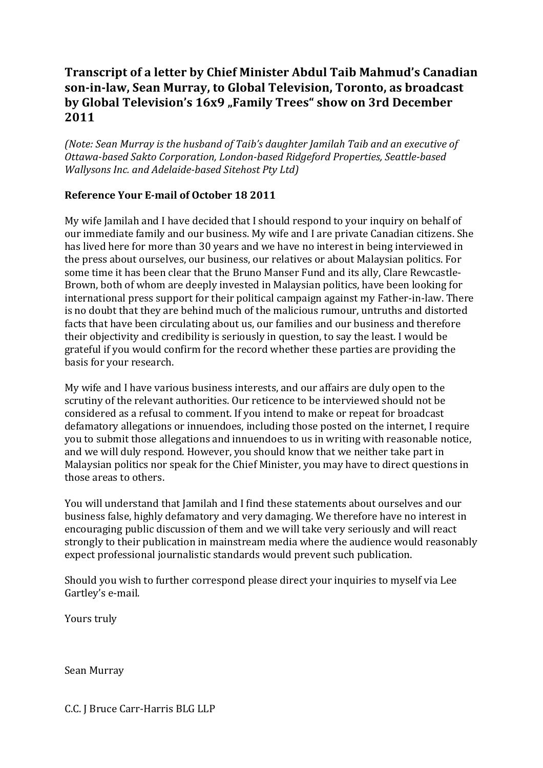## **Transcript of a letter by Chief Minister Abdul Taib Mahmud's Canadian** son-in-law, Sean Murray, to Global Television, Toronto, as broadcast by Global Television's 16x9 "Family Trees" show on 3rd December **2011**

*(Note:'Sean'Murray'is'the'husband'of'Taib's'daughter'Jamilah'Taib'and'an'executive'of' Ottawa-based Sakto Corporation, London-based Ridgeford Properties, Seattle-based Wallysons Inc. and Adelaide-based Sitehost Pty Ltd)* 

## **Reference Your E-mail of October 18 2011**

My wife Jamilah and I have decided that I should respond to your inquiry on behalf of our immediate family and our business. My wife and I are private Canadian citizens. She has lived here for more than 30 years and we have no interest in being interviewed in the press about ourselves, our business, our relatives or about Malaysian politics. For some time it has been clear that the Bruno Manser Fund and its ally, Clare Rewcastle-Brown, both of whom are deeply invested in Malaysian politics, have been looking for international press support for their political campaign against my Father-in-law. There is no doubt that they are behind much of the malicious rumour, untruths and distorted facts that have been circulating about us, our families and our business and therefore their objectivity and credibility is seriously in question, to say the least. I would be grateful if you would confirm for the record whether these parties are providing the basis for your research.

My wife and I have various business interests, and our affairs are duly open to the scrutiny of the relevant authorities. Our reticence to be interviewed should not be considered as a refusal to comment. If you intend to make or repeat for broadcast defamatory allegations or innuendoes, including those posted on the internet, I require you to submit those allegations and innuendoes to us in writing with reasonable notice, and we will duly respond. However, you should know that we neither take part in Malaysian politics nor speak for the Chief Minister, you may have to direct questions in those areas to others.

You will understand that Jamilah and I find these statements about ourselves and our business false, highly defamatory and very damaging. We therefore have no interest in encouraging public discussion of them and we will take very seriously and will react strongly to their publication in mainstream media where the audience would reasonably expect professional journalistic standards would prevent such publication.

Should you wish to further correspond please direct your inquiries to myself via Lee Gartley's e-mail.

Yours truly

Sean Murray

C.C. J Bruce Carr-Harris BLG LLP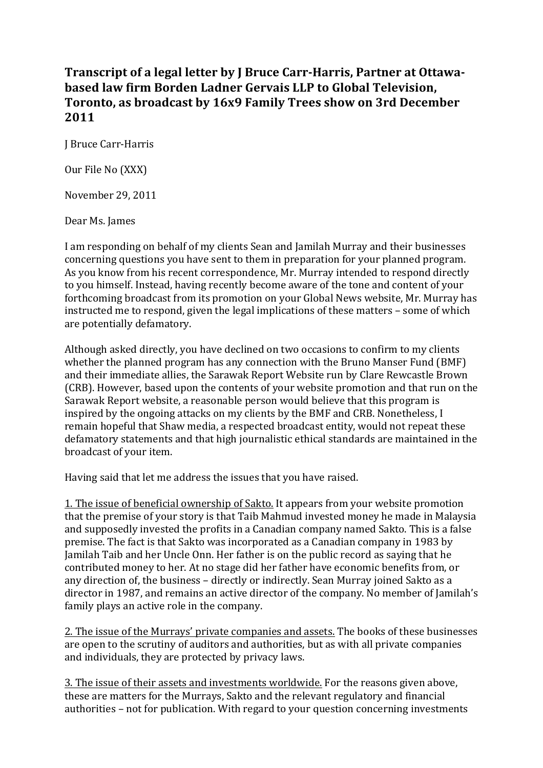## **Transcript of a legal letter by J Bruce Carr-Harris, Partner at Ottawabased law firm Borden Ladner Gervais LLP to Global Television.** Toronto, as broadcast by 16x9 Family Trees show on 3rd December **2011**

J Bruce Carr-Harris

Our File No (XXX)

November 29, 2011

Dear Ms. James

I am responding on behalf of my clients Sean and Jamilah Murray and their businesses concerning questions you have sent to them in preparation for your planned program. As you know from his recent correspondence, Mr. Murray intended to respond directly to you himself. Instead, having recently become aware of the tone and content of your forthcoming broadcast from its promotion on your Global News website, Mr. Murray has instructed me to respond, given the legal implications of these matters – some of which are potentially defamatory.

Although asked directly, you have declined on two occasions to confirm to my clients whether the planned program has any connection with the Bruno Manser Fund (BMF) and their immediate allies, the Sarawak Report Website run by Clare Rewcastle Brown (CRB). However, based upon the contents of your website promotion and that run on the Sarawak Report website, a reasonable person would believe that this program is inspired by the ongoing attacks on my clients by the BMF and CRB. Nonetheless, I remain hopeful that Shaw media, a respected broadcast entity, would not repeat these defamatory statements and that high journalistic ethical standards are maintained in the broadcast of your item.

Having said that let me address the issues that you have raised.

1. The issue of beneficial ownership of Sakto. It appears from your website promotion that the premise of your story is that Taib Mahmud invested money he made in Malaysia and supposedly invested the profits in a Canadian company named Sakto. This is a false premise. The fact is that Sakto was incorporated as a Canadian company in 1983 by Jamilah Taib and her Uncle Onn. Her father is on the public record as saying that he contributed money to her. At no stage did her father have economic benefits from, or any direction of, the business – directly or indirectly. Sean Murray joined Sakto as a director in 1987, and remains an active director of the company. No member of Jamilah's family plays an active role in the company.

2. The issue of the Murrays' private companies and assets. The books of these businesses are open to the scrutiny of auditors and authorities, but as with all private companies and individuals, they are protected by privacy laws.

3. The issue of their assets and investments worldwide. For the reasons given above, these are matters for the Murrays, Sakto and the relevant regulatory and financial authorities – not for publication. With regard to your question concerning investments